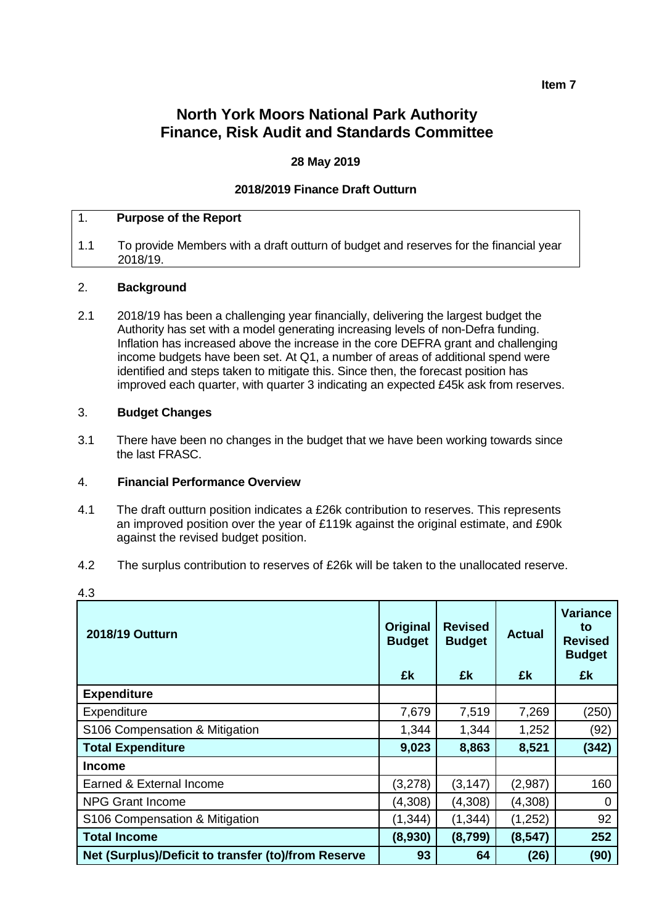# **North York Moors National Park Authority Finance, Risk Audit and Standards Committee**

## **28 May 2019**

## **2018/2019 Finance Draft Outturn**

#### 1. **Purpose of the Report**

1.1 To provide Members with a draft outturn of budget and reserves for the financial year 2018/19.

#### 2. **Background**

2.1 2018/19 has been a challenging year financially, delivering the largest budget the Authority has set with a model generating increasing levels of non-Defra funding. Inflation has increased above the increase in the core DEFRA grant and challenging income budgets have been set. At Q1, a number of areas of additional spend were identified and steps taken to mitigate this. Since then, the forecast position has improved each quarter, with quarter 3 indicating an expected £45k ask from reserves.

#### 3. **Budget Changes**

3.1 There have been no changes in the budget that we have been working towards since the last FRASC.

#### 4. **Financial Performance Overview**

- 4.1 The draft outturn position indicates a £26k contribution to reserves. This represents an improved position over the year of £119k against the original estimate, and £90k against the revised budget position.
- 4.2 The surplus contribution to reserves of £26k will be taken to the unallocated reserve.

| 2018/19 Outturn                                     | <b>Original</b><br><b>Budget</b> | <b>Revised</b><br><b>Budget</b> | <b>Actual</b> | <b>Variance</b><br>to<br><b>Revised</b><br><b>Budget</b> |
|-----------------------------------------------------|----------------------------------|---------------------------------|---------------|----------------------------------------------------------|
|                                                     | £k                               | £k                              | £k            | £k                                                       |
| <b>Expenditure</b>                                  |                                  |                                 |               |                                                          |
| Expenditure                                         | 7,679                            | 7,519                           | 7,269         | (250)                                                    |
| S106 Compensation & Mitigation                      | 1,344                            | 1,344                           | 1,252         | (92)                                                     |
| <b>Total Expenditure</b>                            | 9,023                            | 8,863                           | 8,521         | (342)                                                    |
| <b>Income</b>                                       |                                  |                                 |               |                                                          |
| Earned & External Income                            | (3,278)                          | (3, 147)                        | (2,987)       | 160                                                      |
| <b>NPG Grant Income</b>                             | (4,308)                          | (4,308)                         | (4,308)       | 0                                                        |
| S106 Compensation & Mitigation                      | (1, 344)                         | (1, 344)                        | (1,252)       | 92                                                       |
| <b>Total Income</b>                                 | (8,930)                          | (8,799)                         | (8, 547)      | 252                                                      |
| Net (Surplus)/Deficit to transfer (to)/from Reserve | 93                               | 64                              | (26)          | (90)                                                     |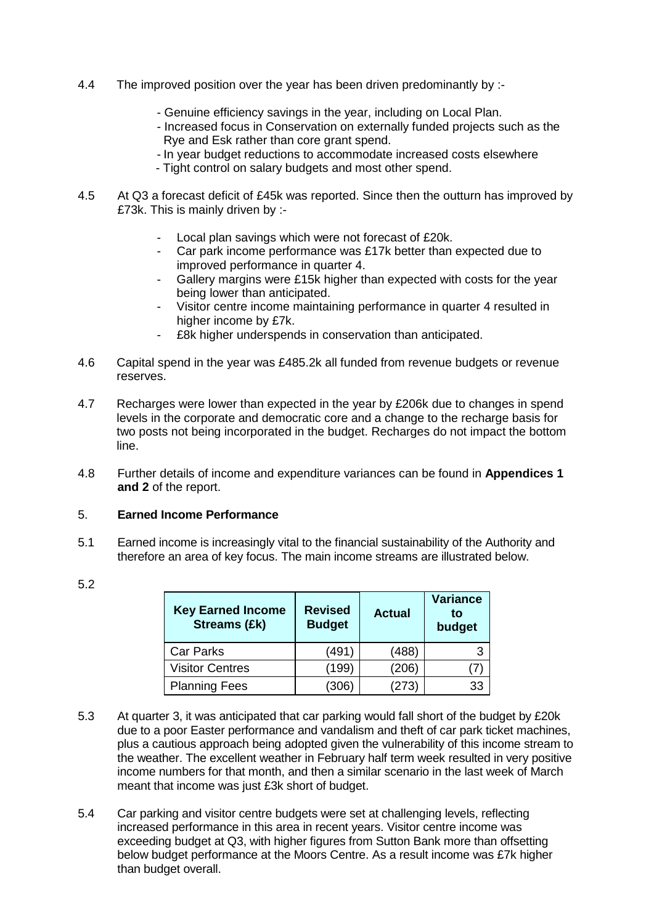- 4.4 The improved position over the year has been driven predominantly by :-
	- Genuine efficiency savings in the year, including on Local Plan.
	- Increased focus in Conservation on externally funded projects such as the Rye and Esk rather than core grant spend.
	- In year budget reductions to accommodate increased costs elsewhere
	- Tight control on salary budgets and most other spend.
- 4.5 At Q3 a forecast deficit of £45k was reported. Since then the outturn has improved by £73k. This is mainly driven by :-
	- Local plan savings which were not forecast of £20k.
	- Car park income performance was £17k better than expected due to improved performance in quarter 4.
	- Gallery margins were £15k higher than expected with costs for the year being lower than anticipated.
	- Visitor centre income maintaining performance in quarter 4 resulted in higher income by £7k.
	- £8k higher underspends in conservation than anticipated.
- 4.6 Capital spend in the year was £485.2k all funded from revenue budgets or revenue reserves.
- 4.7 Recharges were lower than expected in the year by £206k due to changes in spend levels in the corporate and democratic core and a change to the recharge basis for two posts not being incorporated in the budget. Recharges do not impact the bottom line.
- 4.8 Further details of income and expenditure variances can be found in **Appendices 1 and 2** of the report.

## 5. **Earned Income Performance**

5.1 Earned income is increasingly vital to the financial sustainability of the Authority and therefore an area of key focus. The main income streams are illustrated below.

| <b>Key Earned Income</b><br><b>Streams (£k)</b> | <b>Revised</b><br><b>Budget</b> | <b>Actual</b> | <b>Variance</b><br>to<br>budget |
|-------------------------------------------------|---------------------------------|---------------|---------------------------------|
| <b>Car Parks</b>                                | (491)                           | (488)         | 3                               |
| <b>Visitor Centres</b>                          | (199)                           | (206)         |                                 |
| <b>Planning Fees</b>                            | (306)                           | (273)         | 33                              |

5.2

- 5.3 At quarter 3, it was anticipated that car parking would fall short of the budget by £20k due to a poor Easter performance and vandalism and theft of car park ticket machines, plus a cautious approach being adopted given the vulnerability of this income stream to the weather. The excellent weather in February half term week resulted in very positive income numbers for that month, and then a similar scenario in the last week of March meant that income was just £3k short of budget.
- 5.4 Car parking and visitor centre budgets were set at challenging levels, reflecting increased performance in this area in recent years. Visitor centre income was exceeding budget at Q3, with higher figures from Sutton Bank more than offsetting below budget performance at the Moors Centre. As a result income was £7k higher than budget overall.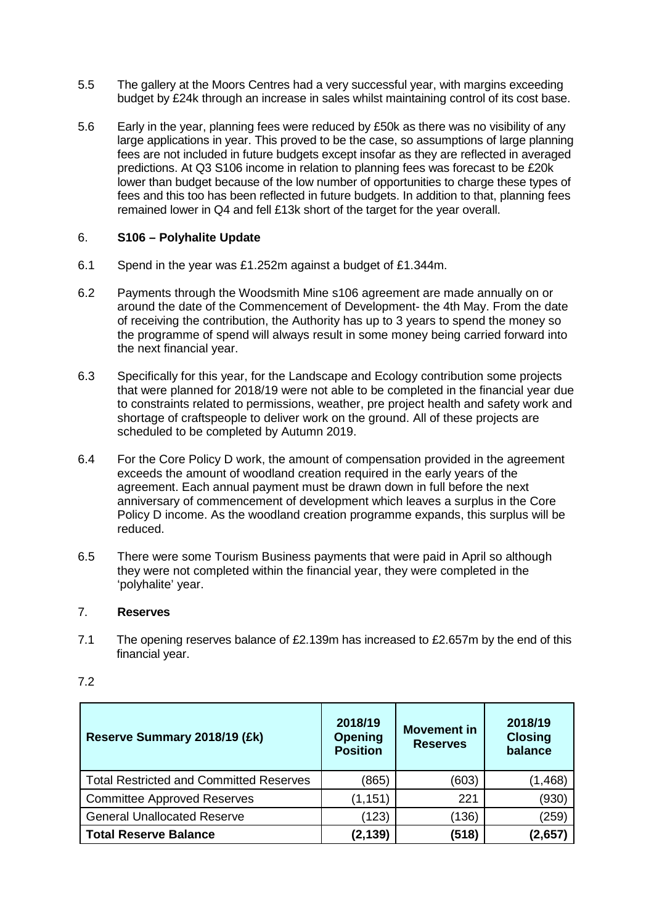- 5.5 The gallery at the Moors Centres had a very successful year, with margins exceeding budget by £24k through an increase in sales whilst maintaining control of its cost base.
- 5.6 Early in the year, planning fees were reduced by £50k as there was no visibility of any large applications in year. This proved to be the case, so assumptions of large planning fees are not included in future budgets except insofar as they are reflected in averaged predictions. At Q3 S106 income in relation to planning fees was forecast to be £20k lower than budget because of the low number of opportunities to charge these types of fees and this too has been reflected in future budgets. In addition to that, planning fees remained lower in Q4 and fell £13k short of the target for the year overall.

# 6. **S106 – Polyhalite Update**

- 6.1 Spend in the year was £1.252m against a budget of £1.344m.
- 6.2 Payments through the Woodsmith Mine s106 agreement are made annually on or around the date of the Commencement of Development- the 4th May. From the date of receiving the contribution, the Authority has up to 3 years to spend the money so the programme of spend will always result in some money being carried forward into the next financial year.
- 6.3 Specifically for this year, for the Landscape and Ecology contribution some projects that were planned for 2018/19 were not able to be completed in the financial year due to constraints related to permissions, weather, pre project health and safety work and shortage of craftspeople to deliver work on the ground. All of these projects are scheduled to be completed by Autumn 2019.
- 6.4 For the Core Policy D work, the amount of compensation provided in the agreement exceeds the amount of woodland creation required in the early years of the agreement. Each annual payment must be drawn down in full before the next anniversary of commencement of development which leaves a surplus in the Core Policy D income. As the woodland creation programme expands, this surplus will be reduced.
- 6.5 There were some Tourism Business payments that were paid in April so although they were not completed within the financial year, they were completed in the 'polyhalite' year.

## 7. **Reserves**

7.1 The opening reserves balance of £2.139m has increased to £2.657m by the end of this financial year.

| Reserve Summary 2018/19 (£k)                   | 2018/19<br><b>Opening</b><br><b>Position</b> | <b>Movement in</b><br><b>Reserves</b> | 2018/19<br><b>Closing</b><br>balance |
|------------------------------------------------|----------------------------------------------|---------------------------------------|--------------------------------------|
| <b>Total Restricted and Committed Reserves</b> | (865)                                        | (603)                                 | (1,468)                              |
| <b>Committee Approved Reserves</b>             | (1, 151)                                     | 221                                   | (930)                                |
| <b>General Unallocated Reserve</b>             | (123)                                        | (136)                                 | (259)                                |
| <b>Total Reserve Balance</b>                   | (2, 139)                                     | (518)                                 | 2.657                                |

7.2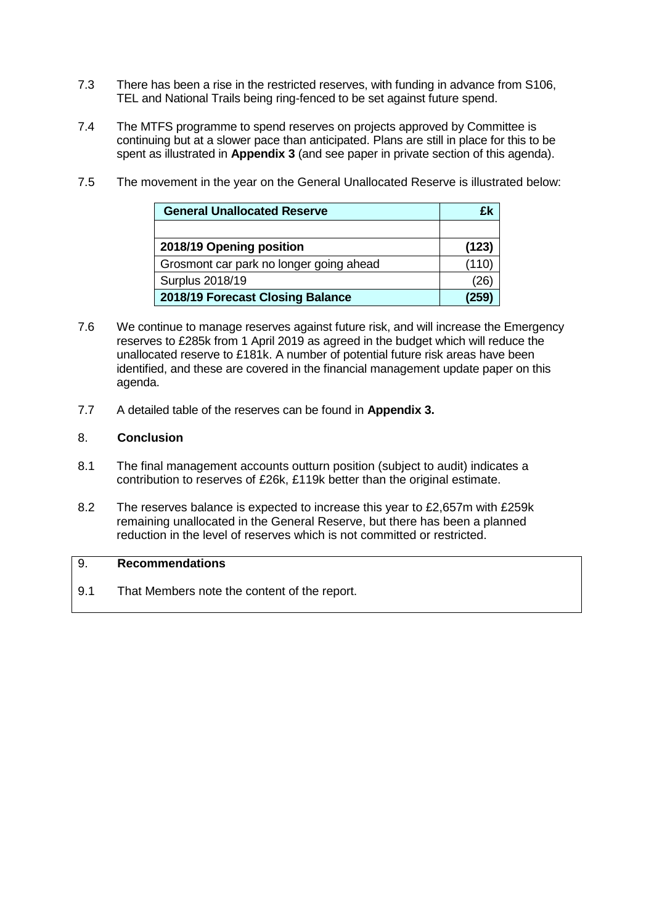- 7.3 There has been a rise in the restricted reserves, with funding in advance from S106, TEL and National Trails being ring-fenced to be set against future spend.
- 7.4 The MTFS programme to spend reserves on projects approved by Committee is continuing but at a slower pace than anticipated. Plans are still in place for this to be spent as illustrated in **Appendix 3** (and see paper in private section of this agenda).

| <b>General Unallocated Reserve</b>      | ГW    |
|-----------------------------------------|-------|
|                                         |       |
| 2018/19 Opening position                | (123) |
| Grosmont car park no longer going ahead | (110) |
| <b>Surplus 2018/19</b>                  |       |
| 2018/19 Forecast Closing Balance        | 259   |

7.5 The movement in the year on the General Unallocated Reserve is illustrated below:

- 7.6 We continue to manage reserves against future risk, and will increase the Emergency reserves to £285k from 1 April 2019 as agreed in the budget which will reduce the unallocated reserve to £181k. A number of potential future risk areas have been identified, and these are covered in the financial management update paper on this agenda.
- 7.7 A detailed table of the reserves can be found in **Appendix 3.**

# 8. **Conclusion**

- 8.1 The final management accounts outturn position (subject to audit) indicates a contribution to reserves of £26k, £119k better than the original estimate.
- 8.2 The reserves balance is expected to increase this year to £2,657m with £259k remaining unallocated in the General Reserve, but there has been a planned reduction in the level of reserves which is not committed or restricted.

## 9. **Recommendations**

9.1 That Members note the content of the report.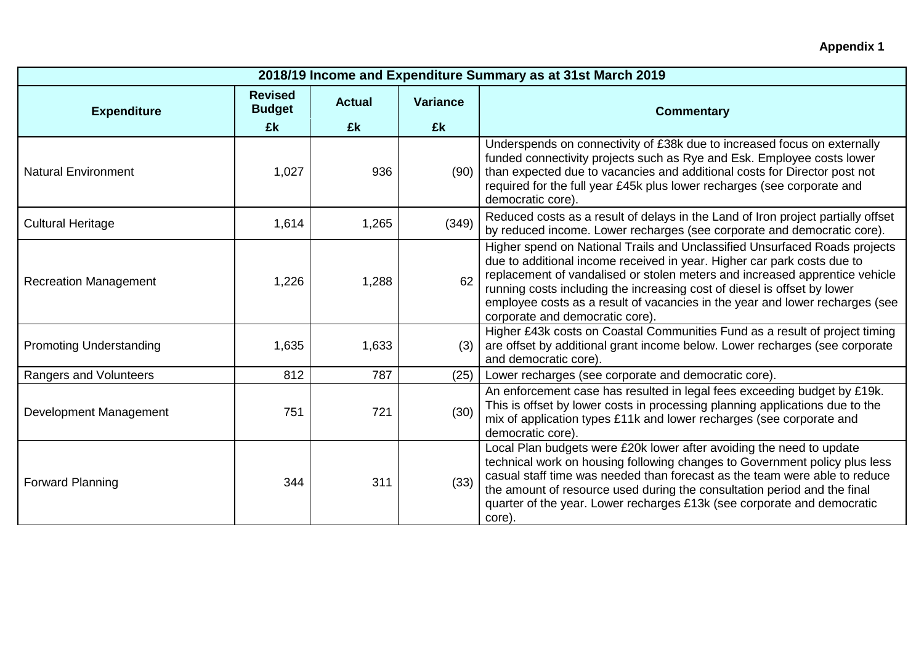| <b>Appendix 1</b> |  |
|-------------------|--|
|-------------------|--|

| 2018/19 Income and Expenditure Summary as at 31st March 2019 |                                       |                     |                |                                                                                                                                                                                                                                                                                                                                                                                                                                     |  |  |
|--------------------------------------------------------------|---------------------------------------|---------------------|----------------|-------------------------------------------------------------------------------------------------------------------------------------------------------------------------------------------------------------------------------------------------------------------------------------------------------------------------------------------------------------------------------------------------------------------------------------|--|--|
| <b>Expenditure</b>                                           | <b>Revised</b><br><b>Budget</b><br>£k | <b>Actual</b><br>£k | Variance<br>£k | <b>Commentary</b>                                                                                                                                                                                                                                                                                                                                                                                                                   |  |  |
| <b>Natural Environment</b>                                   | 1,027                                 | 936                 | (90)           | Underspends on connectivity of £38k due to increased focus on externally<br>funded connectivity projects such as Rye and Esk. Employee costs lower<br>than expected due to vacancies and additional costs for Director post not<br>required for the full year £45k plus lower recharges (see corporate and<br>democratic core).                                                                                                     |  |  |
| <b>Cultural Heritage</b>                                     | 1,614                                 | 1,265               | (349)          | Reduced costs as a result of delays in the Land of Iron project partially offset<br>by reduced income. Lower recharges (see corporate and democratic core).                                                                                                                                                                                                                                                                         |  |  |
| <b>Recreation Management</b>                                 | 1,226                                 | 1,288               | 62             | Higher spend on National Trails and Unclassified Unsurfaced Roads projects<br>due to additional income received in year. Higher car park costs due to<br>replacement of vandalised or stolen meters and increased apprentice vehicle<br>running costs including the increasing cost of diesel is offset by lower<br>employee costs as a result of vacancies in the year and lower recharges (see<br>corporate and democratic core). |  |  |
| <b>Promoting Understanding</b>                               | 1,635                                 | 1,633               | (3)            | Higher £43k costs on Coastal Communities Fund as a result of project timing<br>are offset by additional grant income below. Lower recharges (see corporate<br>and democratic core).                                                                                                                                                                                                                                                 |  |  |
| Rangers and Volunteers                                       | 812                                   | 787                 | (25)           | Lower recharges (see corporate and democratic core).                                                                                                                                                                                                                                                                                                                                                                                |  |  |
| Development Management                                       | 751                                   | 721                 | (30)           | An enforcement case has resulted in legal fees exceeding budget by £19k.<br>This is offset by lower costs in processing planning applications due to the<br>mix of application types £11k and lower recharges (see corporate and<br>democratic core)                                                                                                                                                                                |  |  |
| <b>Forward Planning</b>                                      | 344                                   | 311                 | (33)           | Local Plan budgets were £20k lower after avoiding the need to update<br>technical work on housing following changes to Government policy plus less<br>casual staff time was needed than forecast as the team were able to reduce<br>the amount of resource used during the consultation period and the final<br>quarter of the year. Lower recharges £13k (see corporate and democratic<br>core).                                   |  |  |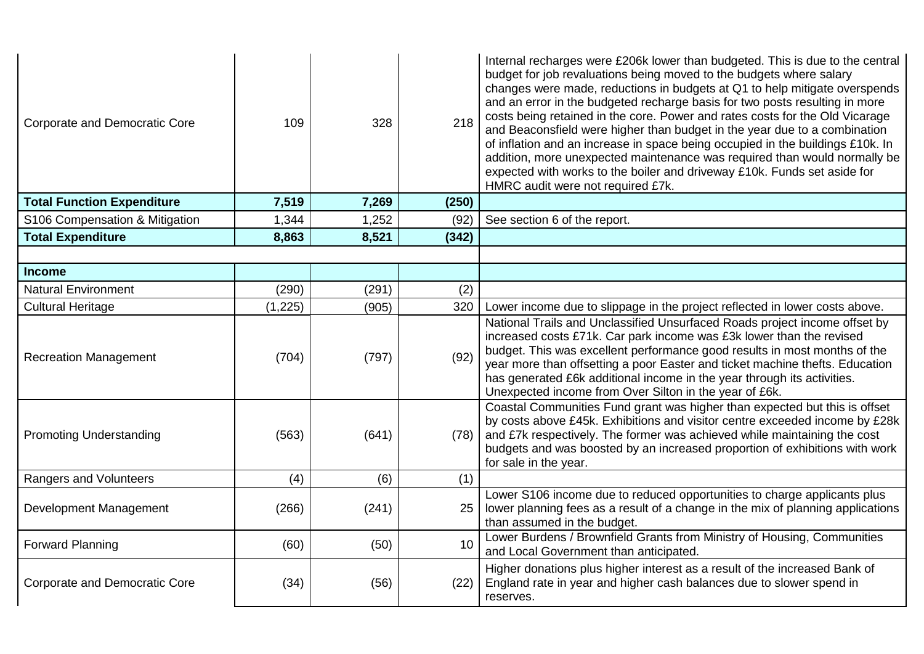| <b>Corporate and Democratic Core</b> | 109      | 328   | 218   | Internal recharges were £206k lower than budgeted. This is due to the central<br>budget for job revaluations being moved to the budgets where salary<br>changes were made, reductions in budgets at Q1 to help mitigate overspends<br>and an error in the budgeted recharge basis for two posts resulting in more<br>costs being retained in the core. Power and rates costs for the Old Vicarage<br>and Beaconsfield were higher than budget in the year due to a combination<br>of inflation and an increase in space being occupied in the buildings £10k. In<br>addition, more unexpected maintenance was required than would normally be<br>expected with works to the boiler and driveway £10k. Funds set aside for<br>HMRC audit were not required £7k. |
|--------------------------------------|----------|-------|-------|----------------------------------------------------------------------------------------------------------------------------------------------------------------------------------------------------------------------------------------------------------------------------------------------------------------------------------------------------------------------------------------------------------------------------------------------------------------------------------------------------------------------------------------------------------------------------------------------------------------------------------------------------------------------------------------------------------------------------------------------------------------|
| <b>Total Function Expenditure</b>    | 7,519    | 7,269 | (250) |                                                                                                                                                                                                                                                                                                                                                                                                                                                                                                                                                                                                                                                                                                                                                                |
| S106 Compensation & Mitigation       | 1,344    | 1,252 | (92)  | See section 6 of the report.                                                                                                                                                                                                                                                                                                                                                                                                                                                                                                                                                                                                                                                                                                                                   |
| <b>Total Expenditure</b>             | 8,863    | 8,521 | (342) |                                                                                                                                                                                                                                                                                                                                                                                                                                                                                                                                                                                                                                                                                                                                                                |
|                                      |          |       |       |                                                                                                                                                                                                                                                                                                                                                                                                                                                                                                                                                                                                                                                                                                                                                                |
| <b>Income</b>                        |          |       |       |                                                                                                                                                                                                                                                                                                                                                                                                                                                                                                                                                                                                                                                                                                                                                                |
| <b>Natural Environment</b>           | (290)    | (291) | (2)   |                                                                                                                                                                                                                                                                                                                                                                                                                                                                                                                                                                                                                                                                                                                                                                |
| <b>Cultural Heritage</b>             | (1, 225) | (905) | 320   | Lower income due to slippage in the project reflected in lower costs above.                                                                                                                                                                                                                                                                                                                                                                                                                                                                                                                                                                                                                                                                                    |
| <b>Recreation Management</b>         | (704)    | (797) | (92)  | National Trails and Unclassified Unsurfaced Roads project income offset by<br>increased costs £71k. Car park income was £3k lower than the revised<br>budget. This was excellent performance good results in most months of the<br>year more than offsetting a poor Easter and ticket machine thefts. Education<br>has generated £6k additional income in the year through its activities.<br>Unexpected income from Over Silton in the year of £6k.                                                                                                                                                                                                                                                                                                           |
| <b>Promoting Understanding</b>       | (563)    | (641) |       | Coastal Communities Fund grant was higher than expected but this is offset<br>by costs above £45k. Exhibitions and visitor centre exceeded income by £28k<br>$(78)$ and £7k respectively. The former was achieved while maintaining the cost<br>budgets and was boosted by an increased proportion of exhibitions with work<br>for sale in the year.                                                                                                                                                                                                                                                                                                                                                                                                           |
| Rangers and Volunteers               | (4)      | (6)   | (1)   |                                                                                                                                                                                                                                                                                                                                                                                                                                                                                                                                                                                                                                                                                                                                                                |
| Development Management               | (266)    | (241) | 25    | Lower S106 income due to reduced opportunities to charge applicants plus<br>lower planning fees as a result of a change in the mix of planning applications<br>than assumed in the budget.                                                                                                                                                                                                                                                                                                                                                                                                                                                                                                                                                                     |
| <b>Forward Planning</b>              | (60)     | (50)  | 10    | Lower Burdens / Brownfield Grants from Ministry of Housing, Communities<br>and Local Government than anticipated.                                                                                                                                                                                                                                                                                                                                                                                                                                                                                                                                                                                                                                              |
| <b>Corporate and Democratic Core</b> | (34)     | (56)  | (22)  | Higher donations plus higher interest as a result of the increased Bank of<br>England rate in year and higher cash balances due to slower spend in<br>reserves.                                                                                                                                                                                                                                                                                                                                                                                                                                                                                                                                                                                                |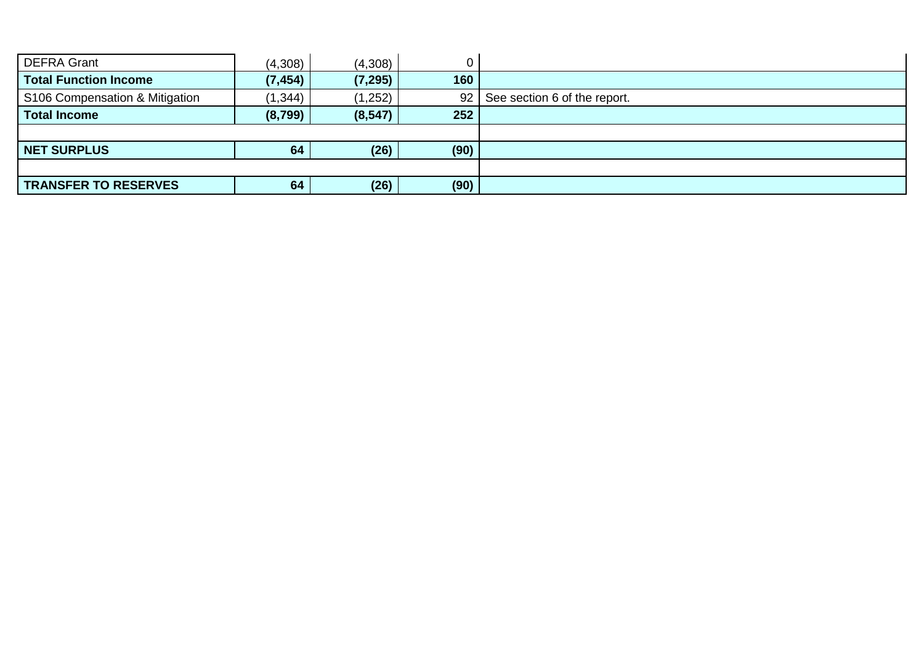| <b>DEFRA Grant</b>             | (4,308)  | (4,308)  | $\Omega$ |                                   |
|--------------------------------|----------|----------|----------|-----------------------------------|
| <b>Total Function Income</b>   | (7, 454) | (7, 295) | 160      |                                   |
| S106 Compensation & Mitigation | (1, 344) | (1,252)  |          | 92   See section 6 of the report. |
| <b>Total Income</b>            | (8,799)  | (8, 547) | 252      |                                   |
|                                |          |          |          |                                   |
| <b>NET SURPLUS</b>             | 64       | (26)     | (90)     |                                   |
|                                |          |          |          |                                   |
| <b>TRANSFER TO RESERVES</b>    | 64       | (26)     | (90)     |                                   |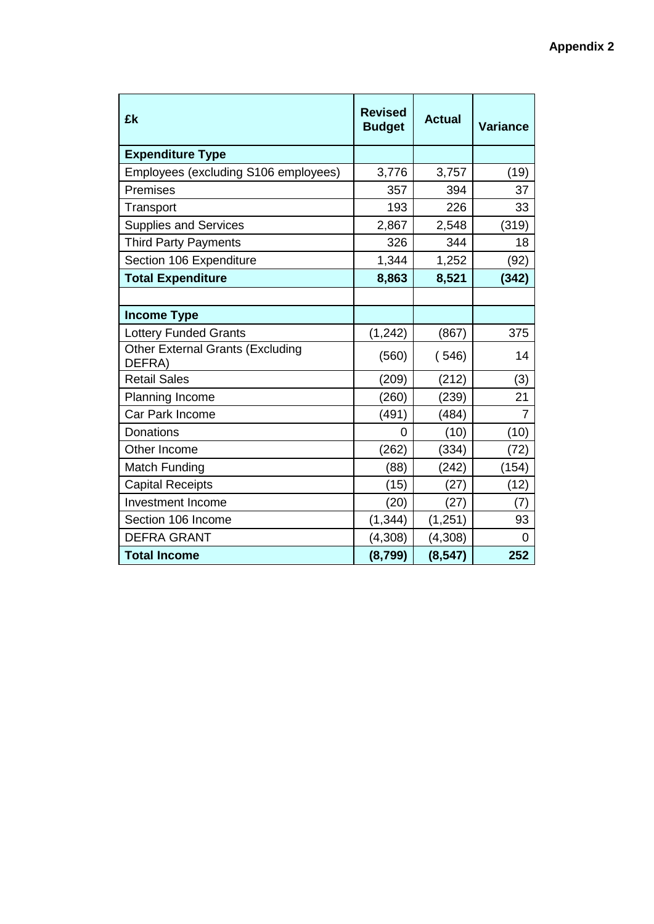| £k                                                | <b>Revised</b><br><b>Budget</b> | <b>Actual</b> | <b>Variance</b> |
|---------------------------------------------------|---------------------------------|---------------|-----------------|
| <b>Expenditure Type</b>                           |                                 |               |                 |
| Employees (excluding S106 employees)              | 3,776                           | 3,757         | (19)            |
| Premises                                          | 357                             | 394           | 37              |
| Transport                                         | 193                             | 226           | 33              |
| <b>Supplies and Services</b>                      | 2,867                           | 2,548         | (319)           |
| <b>Third Party Payments</b>                       | 326                             | 344           | 18              |
| Section 106 Expenditure                           | 1,344                           | 1,252         | (92)            |
| <b>Total Expenditure</b>                          | 8,863                           | 8,521         | (342)           |
|                                                   |                                 |               |                 |
| <b>Income Type</b>                                |                                 |               |                 |
| <b>Lottery Funded Grants</b>                      | (1, 242)                        | (867)         | 375             |
| <b>Other External Grants (Excluding</b><br>DEFRA) | (560)                           | (546)         | 14              |
| <b>Retail Sales</b>                               | (209)                           | (212)         | (3)             |
| Planning Income                                   | (260)                           | (239)         | 21              |
| Car Park Income                                   | (491)                           | (484)         | 7               |
| Donations                                         | 0                               | (10)          | (10)            |
| Other Income                                      | (262)                           | (334)         | (72)            |
| <b>Match Funding</b>                              | (88)                            | (242)         | (154)           |
| <b>Capital Receipts</b>                           | (15)                            | (27)          | (12)            |
| <b>Investment Income</b>                          | (20)                            | (27)          | (7)             |
| Section 106 Income                                | (1, 344)                        | (1, 251)      | 93              |
| <b>DEFRA GRANT</b>                                | (4,308)                         | (4,308)       | 0               |
| <b>Total Income</b>                               | (8, 799)                        | (8, 547)      | 252             |